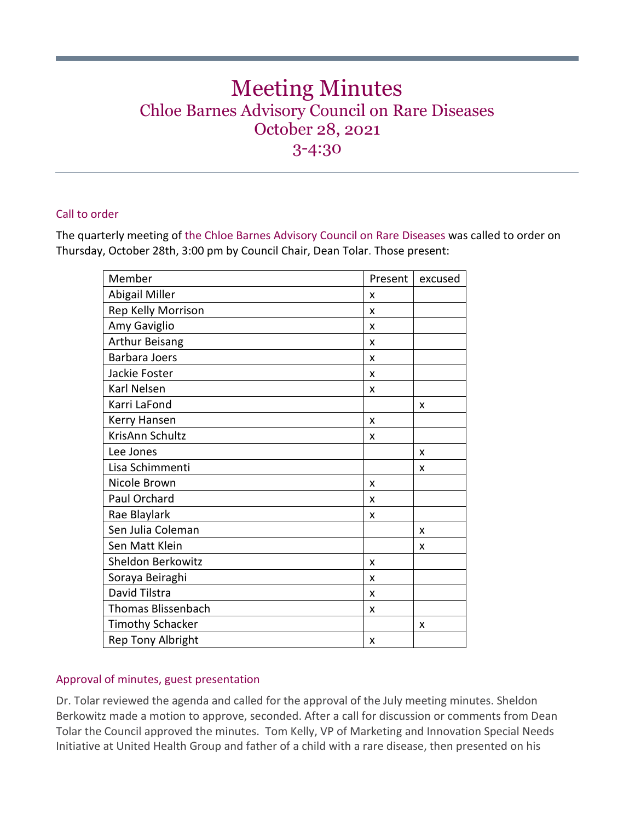# Meeting Minutes Chloe Barnes Advisory Council on Rare Diseases October 28, 2021 3-4:30

## Call to order

The quarterly meeting of the Chloe Barnes Advisory Council on Rare Diseases was called to order on Thursday, October 28th, 3:00 pm by Council Chair, Dean Tolar. Those present:

| Member                    | Present | excused |
|---------------------------|---------|---------|
| Abigail Miller            | x       |         |
| Rep Kelly Morrison        | X       |         |
| Amy Gaviglio              | X       |         |
| Arthur Beisang            | X       |         |
| <b>Barbara Joers</b>      | X       |         |
| Jackie Foster             | X       |         |
| Karl Nelsen               | X       |         |
| Karri LaFond              |         | X       |
| Kerry Hansen              | X       |         |
| KrisAnn Schultz           | x       |         |
| Lee Jones                 |         | X       |
| Lisa Schimmenti           |         | x       |
| Nicole Brown              | X       |         |
| Paul Orchard              | X       |         |
| Rae Blaylark              | X       |         |
| Sen Julia Coleman         |         | X       |
| Sen Matt Klein            |         | X       |
| Sheldon Berkowitz         | X       |         |
| Soraya Beiraghi           | x       |         |
| David Tilstra             | X       |         |
| <b>Thomas Blissenbach</b> | x       |         |
| <b>Timothy Schacker</b>   |         | X       |
| <b>Rep Tony Albright</b>  | X       |         |

## Approval of minutes, guest presentation

Dr. Tolar reviewed the agenda and called for the approval of the July meeting minutes. Sheldon Berkowitz made a motion to approve, seconded. After a call for discussion or comments from Dean Tolar the Council approved the minutes. Tom Kelly, VP of Marketing and Innovation Special Needs Initiative at United Health Group and father of a child with a rare disease, then presented on his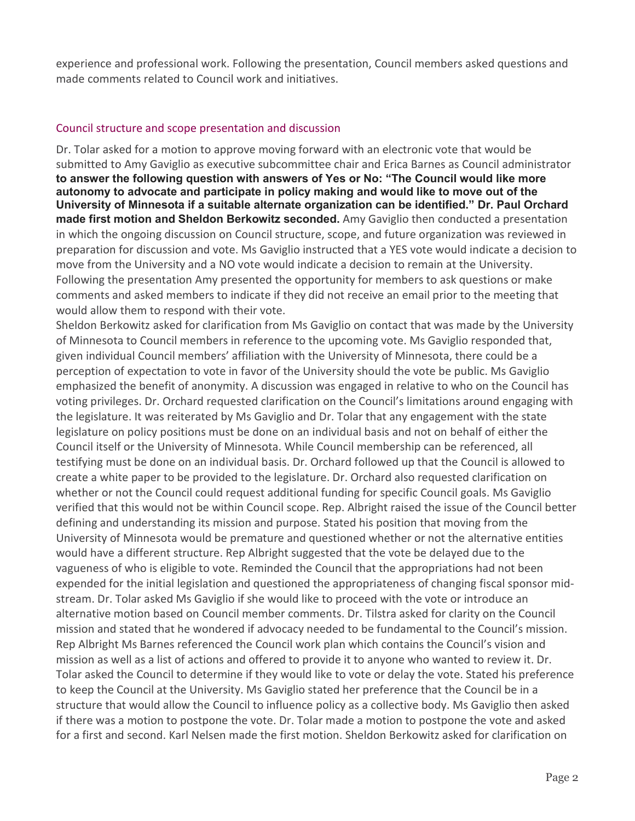experience and professional work. Following the presentation, Council members asked questions and made comments related to Council work and initiatives.

#### Council structure and scope presentation and discussion

Dr. Tolar asked for a motion to approve moving forward with an electronic vote that would be submitted to Amy Gaviglio as executive subcommittee chair and Erica Barnes as Council administrator **to answer the following question with answers of Yes or No: "The Council would like more autonomy to advocate and participate in policy making and would like to move out of the University of Minnesota if a suitable alternate organization can be identified." Dr. Paul Orchard made first motion and Sheldon Berkowitz seconded.** Amy Gaviglio then conducted a presentation in which the ongoing discussion on Council structure, scope, and future organization was reviewed in preparation for discussion and vote. Ms Gaviglio instructed that a YES vote would indicate a decision to move from the University and a NO vote would indicate a decision to remain at the University. Following the presentation Amy presented the opportunity for members to ask questions or make comments and asked members to indicate if they did not receive an email prior to the meeting that would allow them to respond with their vote.

Sheldon Berkowitz asked for clarification from Ms Gaviglio on contact that was made by the University of Minnesota to Council members in reference to the upcoming vote. Ms Gaviglio responded that, given individual Council members' affiliation with the University of Minnesota, there could be a perception of expectation to vote in favor of the University should the vote be public. Ms Gaviglio emphasized the benefit of anonymity. A discussion was engaged in relative to who on the Council has voting privileges. Dr. Orchard requested clarification on the Council's limitations around engaging with the legislature. It was reiterated by Ms Gaviglio and Dr. Tolar that any engagement with the state legislature on policy positions must be done on an individual basis and not on behalf of either the Council itself or the University of Minnesota. While Council membership can be referenced, all testifying must be done on an individual basis. Dr. Orchard followed up that the Council is allowed to create a white paper to be provided to the legislature. Dr. Orchard also requested clarification on whether or not the Council could request additional funding for specific Council goals. Ms Gaviglio verified that this would not be within Council scope. Rep. Albright raised the issue of the Council better defining and understanding its mission and purpose. Stated his position that moving from the University of Minnesota would be premature and questioned whether or not the alternative entities would have a different structure. Rep Albright suggested that the vote be delayed due to the vagueness of who is eligible to vote. Reminded the Council that the appropriations had not been expended for the initial legislation and questioned the appropriateness of changing fiscal sponsor midstream. Dr. Tolar asked Ms Gaviglio if she would like to proceed with the vote or introduce an alternative motion based on Council member comments. Dr. Tilstra asked for clarity on the Council mission and stated that he wondered if advocacy needed to be fundamental to the Council's mission. Rep Albright Ms Barnes referenced the Council work plan which contains the Council's vision and mission as well as a list of actions and offered to provide it to anyone who wanted to review it. Dr. Tolar asked the Council to determine if they would like to vote or delay the vote. Stated his preference to keep the Council at the University. Ms Gaviglio stated her preference that the Council be in a structure that would allow the Council to influence policy as a collective body. Ms Gaviglio then asked if there was a motion to postpone the vote. Dr. Tolar made a motion to postpone the vote and asked for a first and second. Karl Nelsen made the first motion. Sheldon Berkowitz asked for clarification on